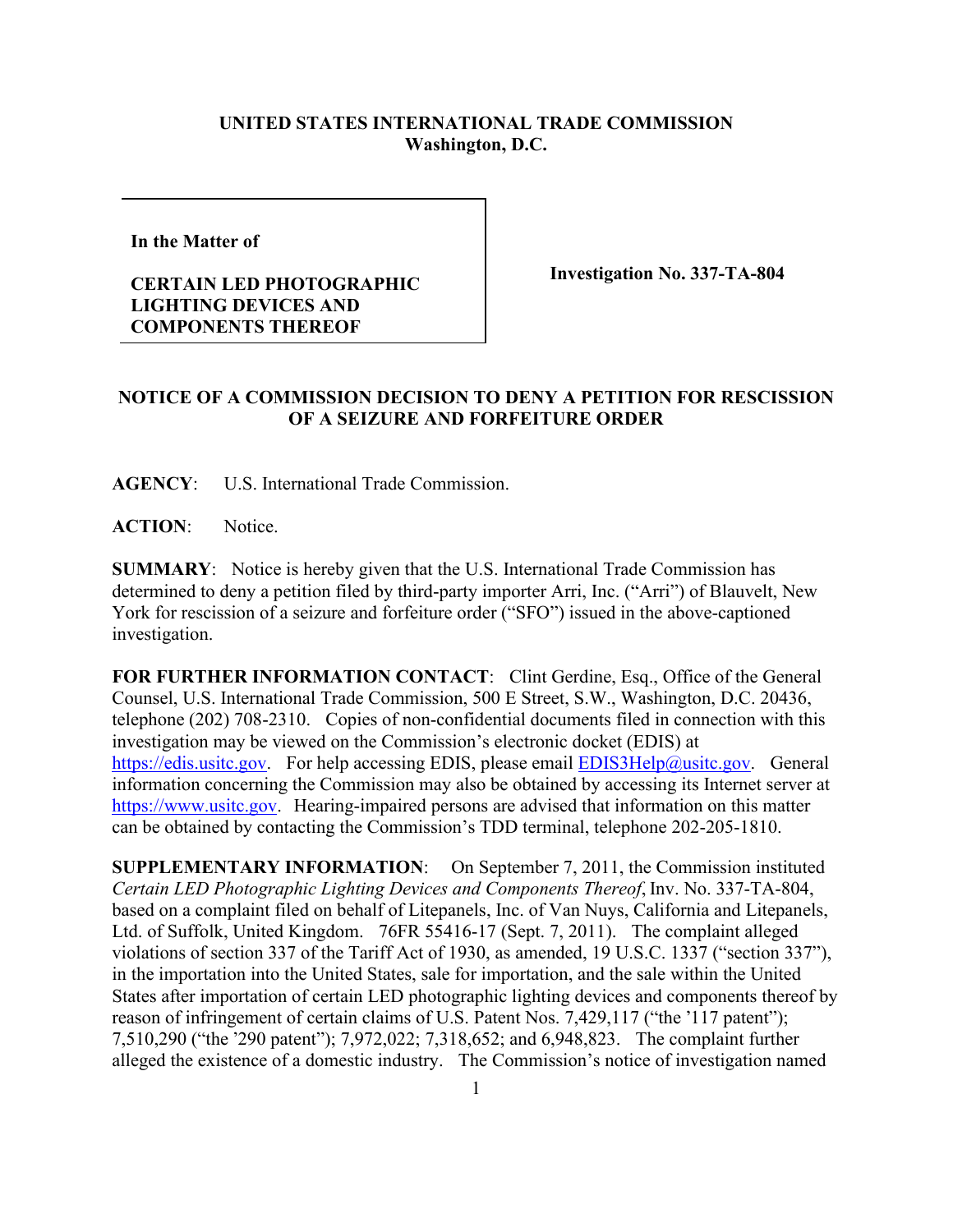## **UNITED STATES INTERNATIONAL TRADE COMMISSION Washington, D.C.**

**In the Matter of** 

## **CERTAIN LED PHOTOGRAPHIC LIGHTING DEVICES AND COMPONENTS THEREOF**

**Investigation No. 337-TA-804**

## **NOTICE OF A COMMISSION DECISION TO DENY A PETITION FOR RESCISSION OF A SEIZURE AND FORFEITURE ORDER**

**AGENCY**: U.S. International Trade Commission.

ACTION: Notice.

**SUMMARY**: Notice is hereby given that the U.S. International Trade Commission has determined to deny a petition filed by third-party importer Arri, Inc. ("Arri") of Blauvelt, New York for rescission of a seizure and forfeiture order ("SFO") issued in the above-captioned investigation.

**FOR FURTHER INFORMATION CONTACT**: Clint Gerdine, Esq., Office of the General Counsel, U.S. International Trade Commission, 500 E Street, S.W., Washington, D.C. 20436, telephone (202) 708-2310. Copies of non-confidential documents filed in connection with this investigation may be viewed on the Commission's electronic docket (EDIS) at [https://edis.usitc.gov.](https://edis.usitc.gov/) For help accessing EDIS, please email [EDIS3Help@usitc.gov.](mailto:EDIS3Help@usitc.gov) General information concerning the Commission may also be obtained by accessing its Internet server at [https://www.usitc.gov.](https://www.usitc.gov/) Hearing-impaired persons are advised that information on this matter can be obtained by contacting the Commission's TDD terminal, telephone 202-205-1810.

**SUPPLEMENTARY INFORMATION**: On September 7, 2011, the Commission instituted *Certain LED Photographic Lighting Devices and Components Thereof*, Inv. No. 337-TA-804, based on a complaint filed on behalf of Litepanels, Inc. of Van Nuys, California and Litepanels, Ltd. of Suffolk, United Kingdom. 76FR 55416-17 (Sept. 7, 2011). The complaint alleged violations of section 337 of the Tariff Act of 1930, as amended, 19 U.S.C. 1337 ("section 337"), in the importation into the United States, sale for importation, and the sale within the United States after importation of certain LED photographic lighting devices and components thereof by reason of infringement of certain claims of U.S. Patent Nos. 7,429,117 ("the '117 patent"); 7,510,290 ("the ՚290 patent"); 7,972,022; 7,318,652; and 6,948,823. The complaint further alleged the existence of a domestic industry. The Commission's notice of investigation named